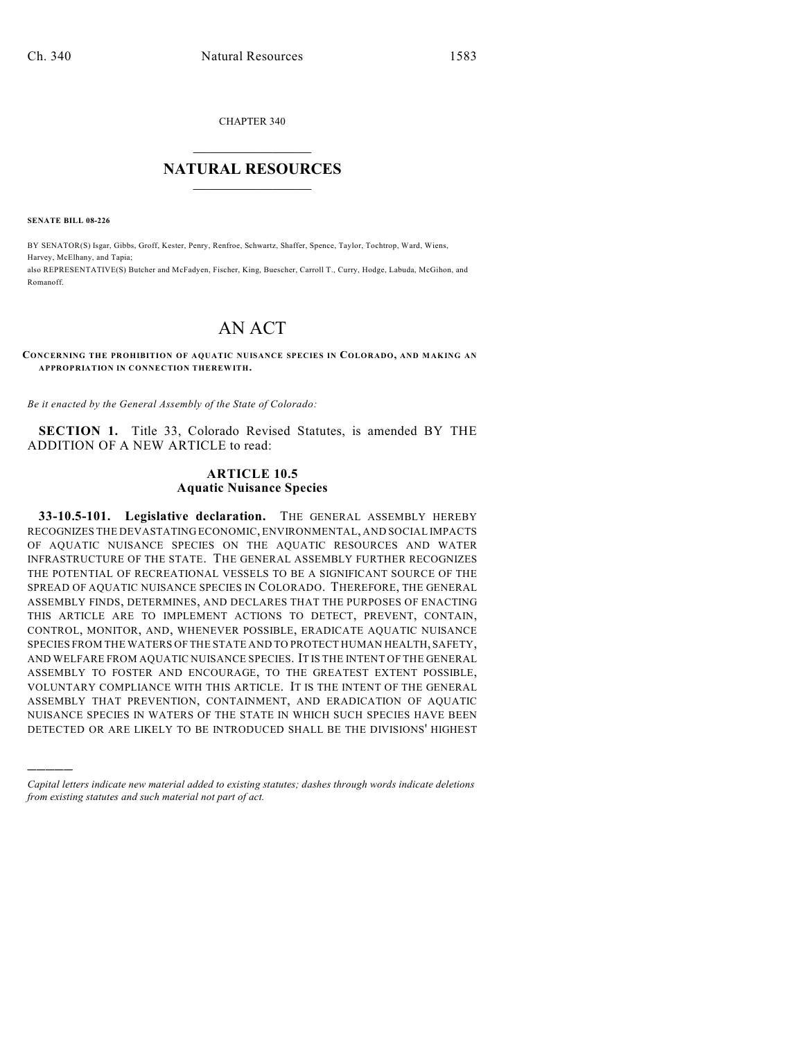CHAPTER 340

## $\overline{\phantom{a}}$  . The set of the set of the set of the set of the set of the set of the set of the set of the set of the set of the set of the set of the set of the set of the set of the set of the set of the set of the set o **NATURAL RESOURCES**  $\frac{1}{\sqrt{2}}$  , where  $\frac{1}{\sqrt{2}}$  ,  $\frac{1}{\sqrt{2}}$  ,  $\frac{1}{\sqrt{2}}$

**SENATE BILL 08-226**

)))))

BY SENATOR(S) Isgar, Gibbs, Groff, Kester, Penry, Renfroe, Schwartz, Shaffer, Spence, Taylor, Tochtrop, Ward, Wiens, Harvey, McElhany, and Tapia; also REPRESENTATIVE(S) Butcher and McFadyen, Fischer, King, Buescher, Carroll T., Curry, Hodge, Labuda, McGihon, and Romanoff.

## AN ACT

## **CONCERNING THE PROHIBITION OF AQUATIC NUISANCE SPECIES IN COLORADO, AND MAKING AN APPROPRIATION IN CONNECTION THEREWITH.**

*Be it enacted by the General Assembly of the State of Colorado:*

**SECTION 1.** Title 33, Colorado Revised Statutes, is amended BY THE ADDITION OF A NEW ARTICLE to read:

## **ARTICLE 10.5 Aquatic Nuisance Species**

**33-10.5-101. Legislative declaration.** THE GENERAL ASSEMBLY HEREBY RECOGNIZES THE DEVASTATING ECONOMIC, ENVIRONMENTAL, AND SOCIAL IMPACTS OF AQUATIC NUISANCE SPECIES ON THE AQUATIC RESOURCES AND WATER INFRASTRUCTURE OF THE STATE. THE GENERAL ASSEMBLY FURTHER RECOGNIZES THE POTENTIAL OF RECREATIONAL VESSELS TO BE A SIGNIFICANT SOURCE OF THE SPREAD OF AQUATIC NUISANCE SPECIES IN COLORADO. THEREFORE, THE GENERAL ASSEMBLY FINDS, DETERMINES, AND DECLARES THAT THE PURPOSES OF ENACTING THIS ARTICLE ARE TO IMPLEMENT ACTIONS TO DETECT, PREVENT, CONTAIN, CONTROL, MONITOR, AND, WHENEVER POSSIBLE, ERADICATE AQUATIC NUISANCE SPECIES FROM THE WATERS OF THE STATE AND TO PROTECT HUMAN HEALTH, SAFETY, AND WELFARE FROM AQUATIC NUISANCE SPECIES. IT IS THE INTENT OF THE GENERAL ASSEMBLY TO FOSTER AND ENCOURAGE, TO THE GREATEST EXTENT POSSIBLE, VOLUNTARY COMPLIANCE WITH THIS ARTICLE. IT IS THE INTENT OF THE GENERAL ASSEMBLY THAT PREVENTION, CONTAINMENT, AND ERADICATION OF AQUATIC NUISANCE SPECIES IN WATERS OF THE STATE IN WHICH SUCH SPECIES HAVE BEEN DETECTED OR ARE LIKELY TO BE INTRODUCED SHALL BE THE DIVISIONS' HIGHEST

*Capital letters indicate new material added to existing statutes; dashes through words indicate deletions from existing statutes and such material not part of act.*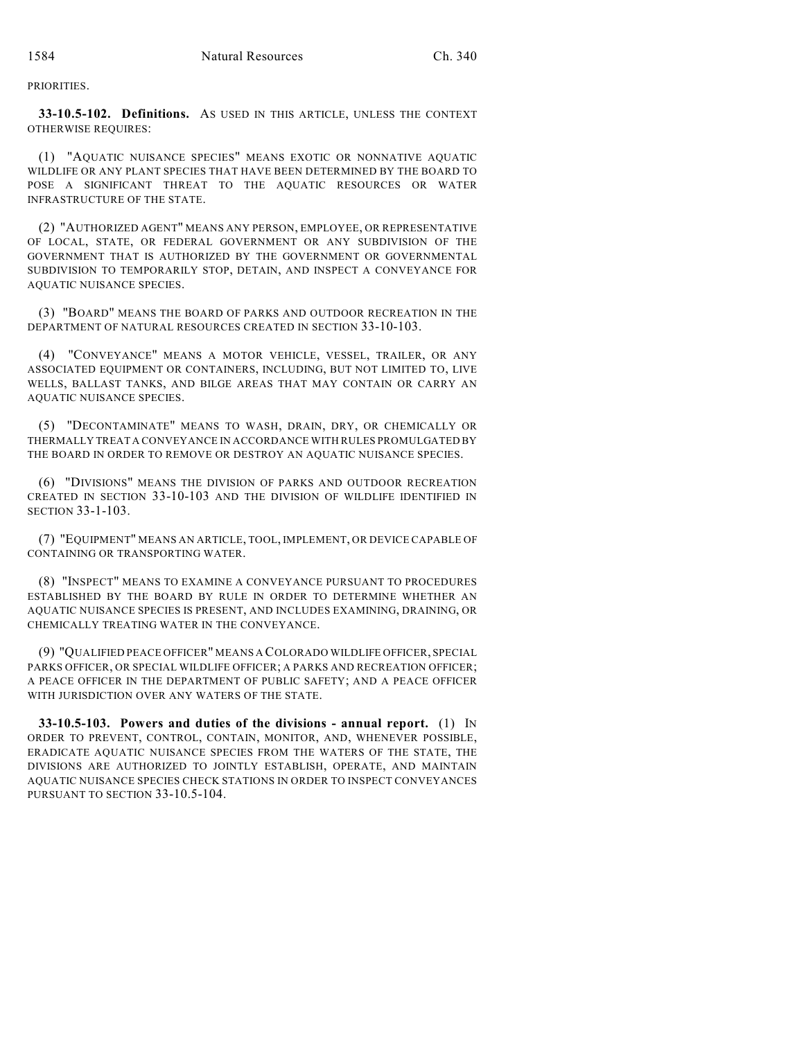PRIORITIES.

**33-10.5-102. Definitions.** AS USED IN THIS ARTICLE, UNLESS THE CONTEXT OTHERWISE REQUIRES:

(1) "AQUATIC NUISANCE SPECIES" MEANS EXOTIC OR NONNATIVE AQUATIC WILDLIFE OR ANY PLANT SPECIES THAT HAVE BEEN DETERMINED BY THE BOARD TO POSE A SIGNIFICANT THREAT TO THE AQUATIC RESOURCES OR WATER INFRASTRUCTURE OF THE STATE.

(2) "AUTHORIZED AGENT" MEANS ANY PERSON, EMPLOYEE, OR REPRESENTATIVE OF LOCAL, STATE, OR FEDERAL GOVERNMENT OR ANY SUBDIVISION OF THE GOVERNMENT THAT IS AUTHORIZED BY THE GOVERNMENT OR GOVERNMENTAL SUBDIVISION TO TEMPORARILY STOP, DETAIN, AND INSPECT A CONVEYANCE FOR AQUATIC NUISANCE SPECIES.

(3) "BOARD" MEANS THE BOARD OF PARKS AND OUTDOOR RECREATION IN THE DEPARTMENT OF NATURAL RESOURCES CREATED IN SECTION 33-10-103.

(4) "CONVEYANCE" MEANS A MOTOR VEHICLE, VESSEL, TRAILER, OR ANY ASSOCIATED EQUIPMENT OR CONTAINERS, INCLUDING, BUT NOT LIMITED TO, LIVE WELLS, BALLAST TANKS, AND BILGE AREAS THAT MAY CONTAIN OR CARRY AN AQUATIC NUISANCE SPECIES.

(5) "DECONTAMINATE" MEANS TO WASH, DRAIN, DRY, OR CHEMICALLY OR THERMALLY TREAT A CONVEYANCE IN ACCORDANCE WITH RULES PROMULGATED BY THE BOARD IN ORDER TO REMOVE OR DESTROY AN AQUATIC NUISANCE SPECIES.

(6) "DIVISIONS" MEANS THE DIVISION OF PARKS AND OUTDOOR RECREATION CREATED IN SECTION 33-10-103 AND THE DIVISION OF WILDLIFE IDENTIFIED IN SECTION 33-1-103.

(7) "EQUIPMENT" MEANS AN ARTICLE, TOOL, IMPLEMENT, OR DEVICE CAPABLE OF CONTAINING OR TRANSPORTING WATER.

(8) "INSPECT" MEANS TO EXAMINE A CONVEYANCE PURSUANT TO PROCEDURES ESTABLISHED BY THE BOARD BY RULE IN ORDER TO DETERMINE WHETHER AN AQUATIC NUISANCE SPECIES IS PRESENT, AND INCLUDES EXAMINING, DRAINING, OR CHEMICALLY TREATING WATER IN THE CONVEYANCE.

(9) "QUALIFIED PEACE OFFICER" MEANS A COLORADO WILDLIFE OFFICER, SPECIAL PARKS OFFICER, OR SPECIAL WILDLIFE OFFICER; A PARKS AND RECREATION OFFICER; A PEACE OFFICER IN THE DEPARTMENT OF PUBLIC SAFETY; AND A PEACE OFFICER WITH JURISDICTION OVER ANY WATERS OF THE STATE.

**33-10.5-103. Powers and duties of the divisions - annual report.** (1) IN ORDER TO PREVENT, CONTROL, CONTAIN, MONITOR, AND, WHENEVER POSSIBLE, ERADICATE AQUATIC NUISANCE SPECIES FROM THE WATERS OF THE STATE, THE DIVISIONS ARE AUTHORIZED TO JOINTLY ESTABLISH, OPERATE, AND MAINTAIN AQUATIC NUISANCE SPECIES CHECK STATIONS IN ORDER TO INSPECT CONVEYANCES PURSUANT TO SECTION 33-10.5-104.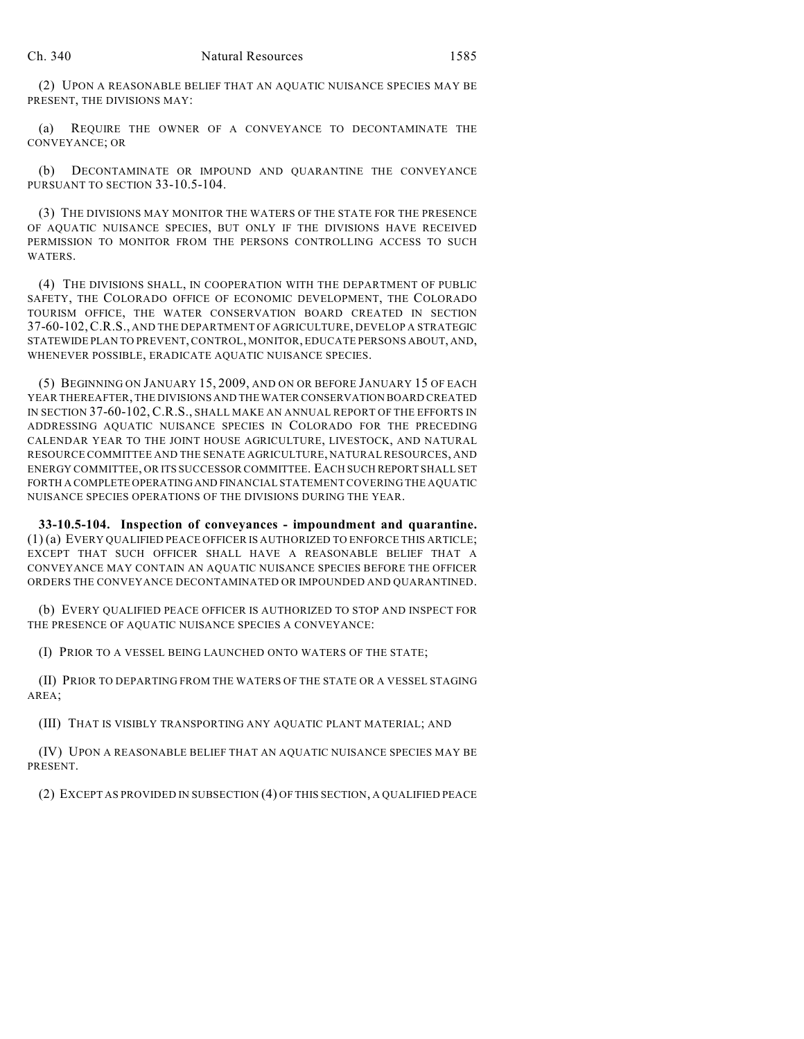(2) UPON A REASONABLE BELIEF THAT AN AQUATIC NUISANCE SPECIES MAY BE PRESENT, THE DIVISIONS MAY:

(a) REQUIRE THE OWNER OF A CONVEYANCE TO DECONTAMINATE THE CONVEYANCE; OR

(b) DECONTAMINATE OR IMPOUND AND QUARANTINE THE CONVEYANCE PURSUANT TO SECTION 33-10.5-104.

(3) THE DIVISIONS MAY MONITOR THE WATERS OF THE STATE FOR THE PRESENCE OF AQUATIC NUISANCE SPECIES, BUT ONLY IF THE DIVISIONS HAVE RECEIVED PERMISSION TO MONITOR FROM THE PERSONS CONTROLLING ACCESS TO SUCH WATERS.

(4) THE DIVISIONS SHALL, IN COOPERATION WITH THE DEPARTMENT OF PUBLIC SAFETY, THE COLORADO OFFICE OF ECONOMIC DEVELOPMENT, THE COLORADO TOURISM OFFICE, THE WATER CONSERVATION BOARD CREATED IN SECTION 37-60-102,C.R.S., AND THE DEPARTMENT OF AGRICULTURE, DEVELOP A STRATEGIC STATEWIDE PLAN TO PREVENT, CONTROL, MONITOR, EDUCATE PERSONS ABOUT, AND, WHENEVER POSSIBLE, ERADICATE AQUATIC NUISANCE SPECIES.

(5) BEGINNING ON JANUARY 15, 2009, AND ON OR BEFORE JANUARY 15 OF EACH YEAR THEREAFTER, THE DIVISIONS AND THE WATER CONSERVATION BOARD CREATED IN SECTION 37-60-102, C.R.S., SHALL MAKE AN ANNUAL REPORT OF THE EFFORTS IN ADDRESSING AQUATIC NUISANCE SPECIES IN COLORADO FOR THE PRECEDING CALENDAR YEAR TO THE JOINT HOUSE AGRICULTURE, LIVESTOCK, AND NATURAL RESOURCE COMMITTEE AND THE SENATE AGRICULTURE, NATURAL RESOURCES, AND ENERGY COMMITTEE, OR ITS SUCCESSOR COMMITTEE. EACH SUCH REPORT SHALL SET FORTH A COMPLETE OPERATING AND FINANCIAL STATEMENT COVERING THE AQUATIC NUISANCE SPECIES OPERATIONS OF THE DIVISIONS DURING THE YEAR.

**33-10.5-104. Inspection of conveyances - impoundment and quarantine.** (1) (a) EVERY QUALIFIED PEACE OFFICER IS AUTHORIZED TO ENFORCE THIS ARTICLE; EXCEPT THAT SUCH OFFICER SHALL HAVE A REASONABLE BELIEF THAT A CONVEYANCE MAY CONTAIN AN AQUATIC NUISANCE SPECIES BEFORE THE OFFICER ORDERS THE CONVEYANCE DECONTAMINATED OR IMPOUNDED AND QUARANTINED.

(b) EVERY QUALIFIED PEACE OFFICER IS AUTHORIZED TO STOP AND INSPECT FOR THE PRESENCE OF AQUATIC NUISANCE SPECIES A CONVEYANCE:

(I) PRIOR TO A VESSEL BEING LAUNCHED ONTO WATERS OF THE STATE;

(II) PRIOR TO DEPARTING FROM THE WATERS OF THE STATE OR A VESSEL STAGING AREA;

(III) THAT IS VISIBLY TRANSPORTING ANY AQUATIC PLANT MATERIAL; AND

(IV) UPON A REASONABLE BELIEF THAT AN AQUATIC NUISANCE SPECIES MAY BE PRESENT.

(2) EXCEPT AS PROVIDED IN SUBSECTION (4) OF THIS SECTION, A QUALIFIED PEACE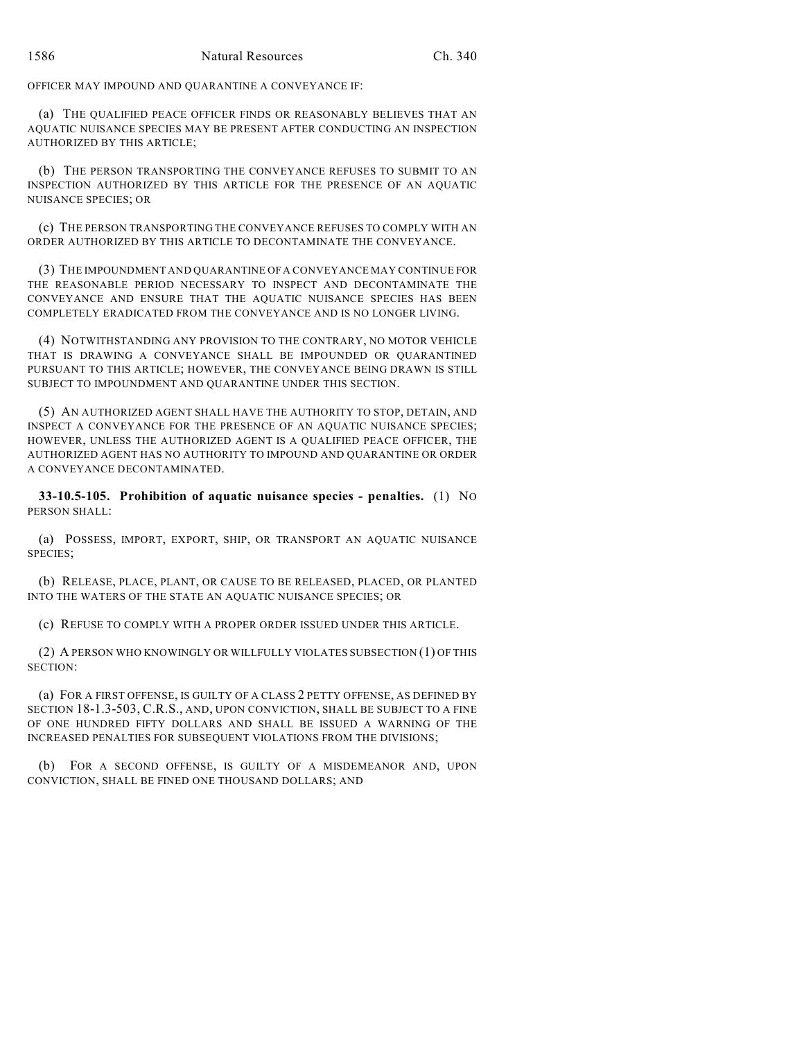OFFICER MAY IMPOUND AND QUARANTINE A CONVEYANCE IF:

(a) THE QUALIFIED PEACE OFFICER FINDS OR REASONABLY BELIEVES THAT AN AQUATIC NUISANCE SPECIES MAY BE PRESENT AFTER CONDUCTING AN INSPECTION AUTHORIZED BY THIS ARTICLE;

(b) THE PERSON TRANSPORTING THE CONVEYANCE REFUSES TO SUBMIT TO AN INSPECTION AUTHORIZED BY THIS ARTICLE FOR THE PRESENCE OF AN AQUATIC NUISANCE SPECIES; OR

(c) THE PERSON TRANSPORTING THE CONVEYANCE REFUSES TO COMPLY WITH AN ORDER AUTHORIZED BY THIS ARTICLE TO DECONTAMINATE THE CONVEYANCE.

(3) THE IMPOUNDMENT AND QUARANTINE OF A CONVEYANCE MAY CONTINUE FOR THE REASONABLE PERIOD NECESSARY TO INSPECT AND DECONTAMINATE THE CONVEYANCE AND ENSURE THAT THE AQUATIC NUISANCE SPECIES HAS BEEN COMPLETELY ERADICATED FROM THE CONVEYANCE AND IS NO LONGER LIVING.

(4) NOTWITHSTANDING ANY PROVISION TO THE CONTRARY, NO MOTOR VEHICLE THAT IS DRAWING A CONVEYANCE SHALL BE IMPOUNDED OR QUARANTINED PURSUANT TO THIS ARTICLE; HOWEVER, THE CONVEYANCE BEING DRAWN IS STILL SUBJECT TO IMPOUNDMENT AND QUARANTINE UNDER THIS SECTION.

(5) AN AUTHORIZED AGENT SHALL HAVE THE AUTHORITY TO STOP, DETAIN, AND INSPECT A CONVEYANCE FOR THE PRESENCE OF AN AQUATIC NUISANCE SPECIES; HOWEVER, UNLESS THE AUTHORIZED AGENT IS A QUALIFIED PEACE OFFICER, THE AUTHORIZED AGENT HAS NO AUTHORITY TO IMPOUND AND QUARANTINE OR ORDER A CONVEYANCE DECONTAMINATED.

**33-10.5-105. Prohibition of aquatic nuisance species - penalties.** (1) NO PERSON SHALL:

(a) POSSESS, IMPORT, EXPORT, SHIP, OR TRANSPORT AN AQUATIC NUISANCE SPECIES;

(b) RELEASE, PLACE, PLANT, OR CAUSE TO BE RELEASED, PLACED, OR PLANTED INTO THE WATERS OF THE STATE AN AQUATIC NUISANCE SPECIES; OR

(c) REFUSE TO COMPLY WITH A PROPER ORDER ISSUED UNDER THIS ARTICLE.

(2) A PERSON WHO KNOWINGLY OR WILLFULLY VIOLATES SUBSECTION (1) OF THIS SECTION:

(a) FOR A FIRST OFFENSE, IS GUILTY OF A CLASS 2 PETTY OFFENSE, AS DEFINED BY SECTION 18-1.3-503, C.R.S., AND, UPON CONVICTION, SHALL BE SUBJECT TO A FINE OF ONE HUNDRED FIFTY DOLLARS AND SHALL BE ISSUED A WARNING OF THE INCREASED PENALTIES FOR SUBSEQUENT VIOLATIONS FROM THE DIVISIONS;

(b) FOR A SECOND OFFENSE, IS GUILTY OF A MISDEMEANOR AND, UPON CONVICTION, SHALL BE FINED ONE THOUSAND DOLLARS; AND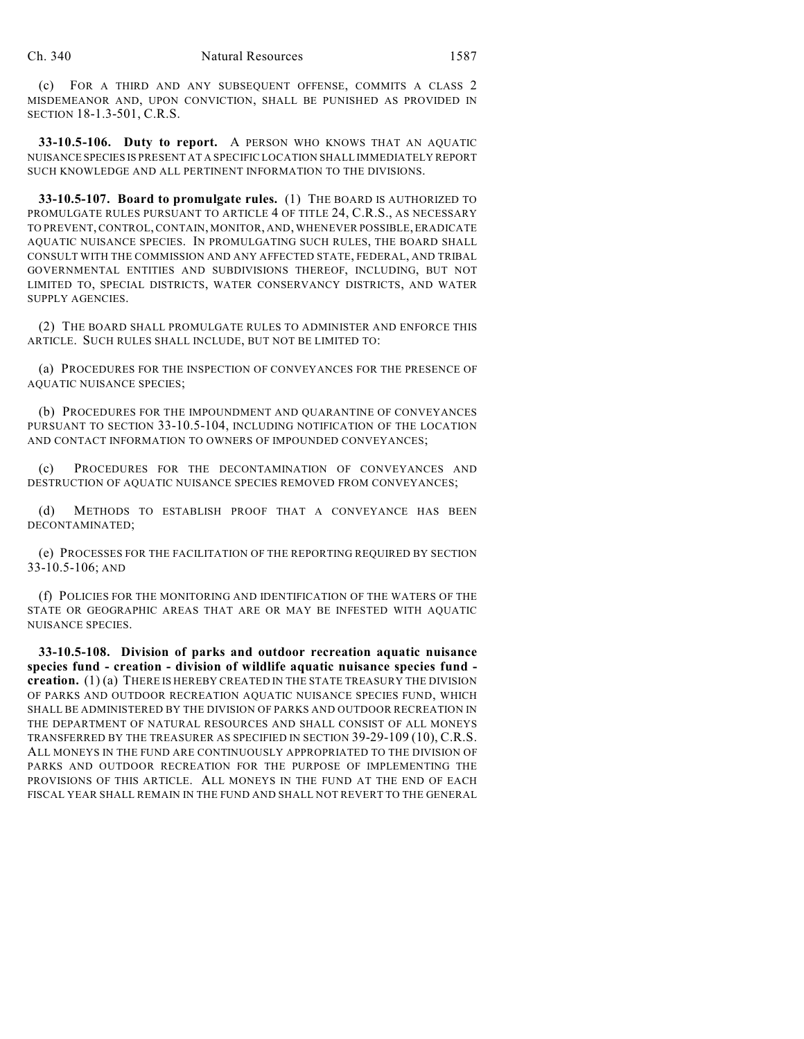(c) FOR A THIRD AND ANY SUBSEQUENT OFFENSE, COMMITS A CLASS 2 MISDEMEANOR AND, UPON CONVICTION, SHALL BE PUNISHED AS PROVIDED IN SECTION 18-1.3-501, C.R.S.

**33-10.5-106. Duty to report.** A PERSON WHO KNOWS THAT AN AQUATIC NUISANCE SPECIES IS PRESENT AT A SPECIFIC LOCATION SHALL IMMEDIATELY REPORT SUCH KNOWLEDGE AND ALL PERTINENT INFORMATION TO THE DIVISIONS.

**33-10.5-107. Board to promulgate rules.** (1) THE BOARD IS AUTHORIZED TO PROMULGATE RULES PURSUANT TO ARTICLE 4 OF TITLE 24, C.R.S., AS NECESSARY TO PREVENT, CONTROL, CONTAIN, MONITOR, AND, WHENEVER POSSIBLE, ERADICATE AQUATIC NUISANCE SPECIES. IN PROMULGATING SUCH RULES, THE BOARD SHALL CONSULT WITH THE COMMISSION AND ANY AFFECTED STATE, FEDERAL, AND TRIBAL GOVERNMENTAL ENTITIES AND SUBDIVISIONS THEREOF, INCLUDING, BUT NOT LIMITED TO, SPECIAL DISTRICTS, WATER CONSERVANCY DISTRICTS, AND WATER SUPPLY AGENCIES.

(2) THE BOARD SHALL PROMULGATE RULES TO ADMINISTER AND ENFORCE THIS ARTICLE. SUCH RULES SHALL INCLUDE, BUT NOT BE LIMITED TO:

(a) PROCEDURES FOR THE INSPECTION OF CONVEYANCES FOR THE PRESENCE OF AQUATIC NUISANCE SPECIES;

(b) PROCEDURES FOR THE IMPOUNDMENT AND QUARANTINE OF CONVEYANCES PURSUANT TO SECTION 33-10.5-104, INCLUDING NOTIFICATION OF THE LOCATION AND CONTACT INFORMATION TO OWNERS OF IMPOUNDED CONVEYANCES;

(c) PROCEDURES FOR THE DECONTAMINATION OF CONVEYANCES AND DESTRUCTION OF AQUATIC NUISANCE SPECIES REMOVED FROM CONVEYANCES;

(d) METHODS TO ESTABLISH PROOF THAT A CONVEYANCE HAS BEEN DECONTAMINATED;

(e) PROCESSES FOR THE FACILITATION OF THE REPORTING REQUIRED BY SECTION 33-10.5-106; AND

(f) POLICIES FOR THE MONITORING AND IDENTIFICATION OF THE WATERS OF THE STATE OR GEOGRAPHIC AREAS THAT ARE OR MAY BE INFESTED WITH AQUATIC NUISANCE SPECIES.

**33-10.5-108. Division of parks and outdoor recreation aquatic nuisance species fund - creation - division of wildlife aquatic nuisance species fund creation.** (1) (a) THERE IS HEREBY CREATED IN THE STATE TREASURY THE DIVISION OF PARKS AND OUTDOOR RECREATION AQUATIC NUISANCE SPECIES FUND, WHICH SHALL BE ADMINISTERED BY THE DIVISION OF PARKS AND OUTDOOR RECREATION IN THE DEPARTMENT OF NATURAL RESOURCES AND SHALL CONSIST OF ALL MONEYS TRANSFERRED BY THE TREASURER AS SPECIFIED IN SECTION 39-29-109 (10), C.R.S. ALL MONEYS IN THE FUND ARE CONTINUOUSLY APPROPRIATED TO THE DIVISION OF PARKS AND OUTDOOR RECREATION FOR THE PURPOSE OF IMPLEMENTING THE PROVISIONS OF THIS ARTICLE. ALL MONEYS IN THE FUND AT THE END OF EACH FISCAL YEAR SHALL REMAIN IN THE FUND AND SHALL NOT REVERT TO THE GENERAL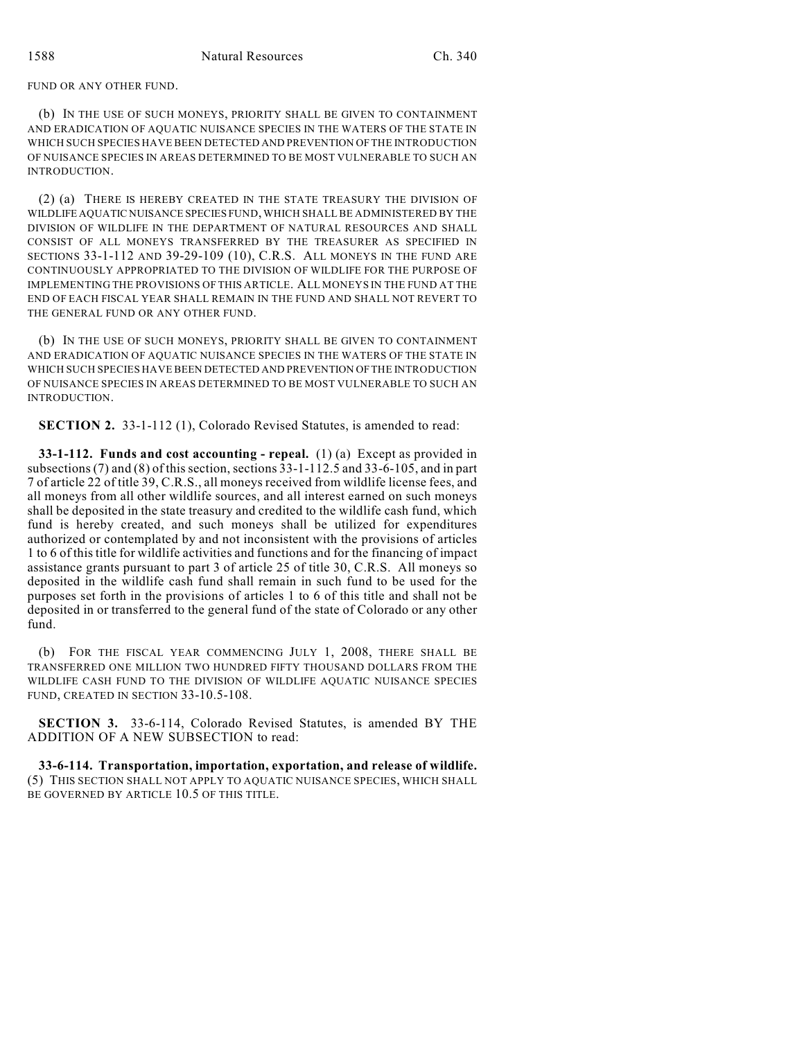FUND OR ANY OTHER FUND.

(b) IN THE USE OF SUCH MONEYS, PRIORITY SHALL BE GIVEN TO CONTAINMENT AND ERADICATION OF AQUATIC NUISANCE SPECIES IN THE WATERS OF THE STATE IN WHICH SUCH SPECIES HAVE BEEN DETECTED AND PREVENTION OF THE INTRODUCTION OF NUISANCE SPECIES IN AREAS DETERMINED TO BE MOST VULNERABLE TO SUCH AN INTRODUCTION.

(2) (a) THERE IS HEREBY CREATED IN THE STATE TREASURY THE DIVISION OF WILDLIFE AQUATIC NUISANCE SPECIES FUND, WHICH SHALL BE ADMINISTERED BY THE DIVISION OF WILDLIFE IN THE DEPARTMENT OF NATURAL RESOURCES AND SHALL CONSIST OF ALL MONEYS TRANSFERRED BY THE TREASURER AS SPECIFIED IN SECTIONS 33-1-112 AND 39-29-109 (10), C.R.S. ALL MONEYS IN THE FUND ARE CONTINUOUSLY APPROPRIATED TO THE DIVISION OF WILDLIFE FOR THE PURPOSE OF IMPLEMENTING THE PROVISIONS OF THIS ARTICLE. ALL MONEYS IN THE FUND AT THE END OF EACH FISCAL YEAR SHALL REMAIN IN THE FUND AND SHALL NOT REVERT TO THE GENERAL FUND OR ANY OTHER FUND.

(b) IN THE USE OF SUCH MONEYS, PRIORITY SHALL BE GIVEN TO CONTAINMENT AND ERADICATION OF AQUATIC NUISANCE SPECIES IN THE WATERS OF THE STATE IN WHICH SUCH SPECIES HAVE BEEN DETECTED AND PREVENTION OF THE INTRODUCTION OF NUISANCE SPECIES IN AREAS DETERMINED TO BE MOST VULNERABLE TO SUCH AN INTRODUCTION.

**SECTION 2.** 33-1-112 (1), Colorado Revised Statutes, is amended to read:

**33-1-112. Funds and cost accounting - repeal.** (1) (a) Except as provided in subsections (7) and (8) of this section, sections  $\overline{33}$ -1-112.5 and  $\overline{33}$ -6-105, and in part 7 of article 22 of title 39, C.R.S., all moneys received from wildlife license fees, and all moneys from all other wildlife sources, and all interest earned on such moneys shall be deposited in the state treasury and credited to the wildlife cash fund, which fund is hereby created, and such moneys shall be utilized for expenditures authorized or contemplated by and not inconsistent with the provisions of articles 1 to 6 of this title for wildlife activities and functions and for the financing of impact assistance grants pursuant to part 3 of article 25 of title 30, C.R.S. All moneys so deposited in the wildlife cash fund shall remain in such fund to be used for the purposes set forth in the provisions of articles 1 to 6 of this title and shall not be deposited in or transferred to the general fund of the state of Colorado or any other fund.

(b) FOR THE FISCAL YEAR COMMENCING JULY 1, 2008, THERE SHALL BE TRANSFERRED ONE MILLION TWO HUNDRED FIFTY THOUSAND DOLLARS FROM THE WILDLIFE CASH FUND TO THE DIVISION OF WILDLIFE AQUATIC NUISANCE SPECIES FUND, CREATED IN SECTION 33-10.5-108.

**SECTION 3.** 33-6-114, Colorado Revised Statutes, is amended BY THE ADDITION OF A NEW SUBSECTION to read:

**33-6-114. Transportation, importation, exportation, and release of wildlife.** (5) THIS SECTION SHALL NOT APPLY TO AQUATIC NUISANCE SPECIES, WHICH SHALL BE GOVERNED BY ARTICLE 10.5 OF THIS TITLE.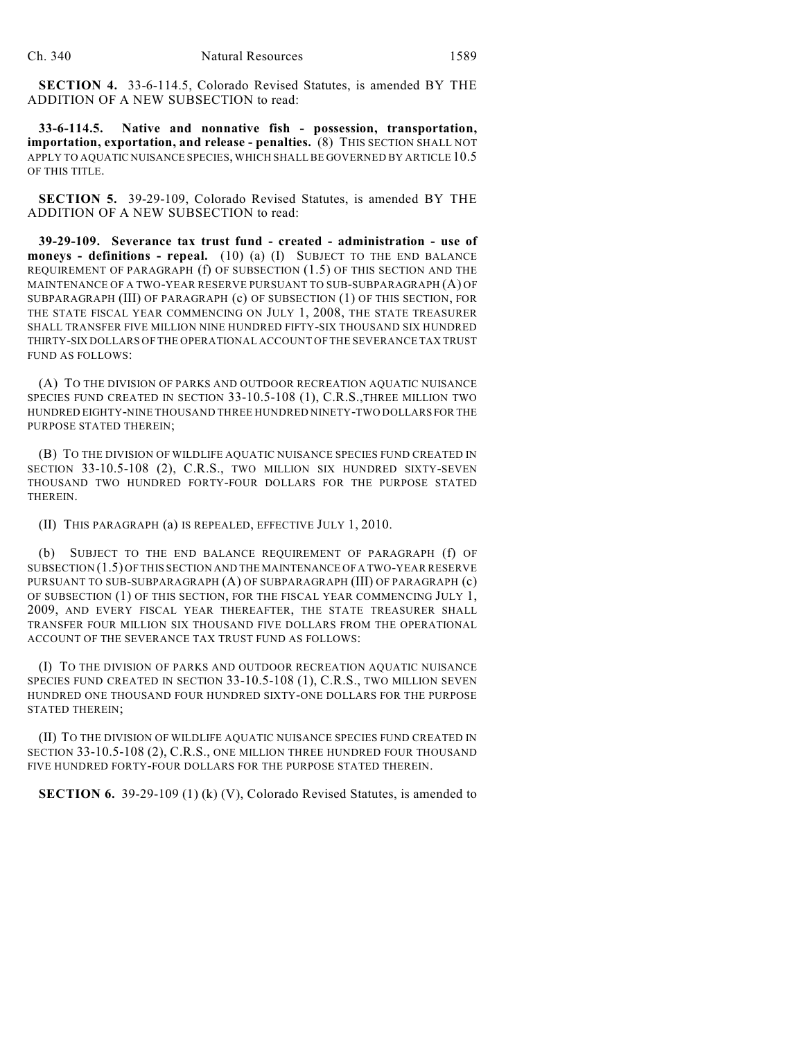**SECTION 4.** 33-6-114.5, Colorado Revised Statutes, is amended BY THE ADDITION OF A NEW SUBSECTION to read:

**33-6-114.5. Native and nonnative fish - possession, transportation, importation, exportation, and release - penalties.** (8) THIS SECTION SHALL NOT APPLY TO AQUATIC NUISANCE SPECIES, WHICH SHALL BE GOVERNED BY ARTICLE 10.5 OF THIS TITLE.

**SECTION 5.** 39-29-109, Colorado Revised Statutes, is amended BY THE ADDITION OF A NEW SUBSECTION to read:

**39-29-109. Severance tax trust fund - created - administration - use of moneys - definitions - repeal.** (10) (a) (I) SUBJECT TO THE END BALANCE REQUIREMENT OF PARAGRAPH (f) OF SUBSECTION (1.5) OF THIS SECTION AND THE MAINTENANCE OF A TWO-YEAR RESERVE PURSUANT TO SUB-SUBPARAGRAPH (A) OF SUBPARAGRAPH (III) OF PARAGRAPH (c) OF SUBSECTION (1) OF THIS SECTION, FOR THE STATE FISCAL YEAR COMMENCING ON JULY 1, 2008, THE STATE TREASURER SHALL TRANSFER FIVE MILLION NINE HUNDRED FIFTY-SIX THOUSAND SIX HUNDRED THIRTY-SIX DOLLARS OF THE OPERATIONAL ACCOUNT OF THE SEVERANCE TAX TRUST FUND AS FOLLOWS:

(A) TO THE DIVISION OF PARKS AND OUTDOOR RECREATION AQUATIC NUISANCE SPECIES FUND CREATED IN SECTION 33-10.5-108 (1), C.R.S.,THREE MILLION TWO HUNDRED EIGHTY-NINE THOUSAND THREE HUNDRED NINETY-TWO DOLLARS FOR THE PURPOSE STATED THEREIN;

(B) TO THE DIVISION OF WILDLIFE AQUATIC NUISANCE SPECIES FUND CREATED IN SECTION 33-10.5-108 (2), C.R.S., TWO MILLION SIX HUNDRED SIXTY-SEVEN THOUSAND TWO HUNDRED FORTY-FOUR DOLLARS FOR THE PURPOSE STATED THEREIN.

(II) THIS PARAGRAPH (a) IS REPEALED, EFFECTIVE JULY 1, 2010.

(b) SUBJECT TO THE END BALANCE REQUIREMENT OF PARAGRAPH (f) OF SUBSECTION (1.5) OF THIS SECTION AND THE MAINTENANCE OF A TWO-YEAR RESERVE PURSUANT TO SUB-SUBPARAGRAPH (A) OF SUBPARAGRAPH (III) OF PARAGRAPH (c) OF SUBSECTION (1) OF THIS SECTION, FOR THE FISCAL YEAR COMMENCING JULY 1, 2009, AND EVERY FISCAL YEAR THEREAFTER, THE STATE TREASURER SHALL TRANSFER FOUR MILLION SIX THOUSAND FIVE DOLLARS FROM THE OPERATIONAL ACCOUNT OF THE SEVERANCE TAX TRUST FUND AS FOLLOWS:

(I) TO THE DIVISION OF PARKS AND OUTDOOR RECREATION AQUATIC NUISANCE SPECIES FUND CREATED IN SECTION 33-10.5-108 (1), C.R.S., TWO MILLION SEVEN HUNDRED ONE THOUSAND FOUR HUNDRED SIXTY-ONE DOLLARS FOR THE PURPOSE STATED THEREIN;

(II) TO THE DIVISION OF WILDLIFE AQUATIC NUISANCE SPECIES FUND CREATED IN SECTION 33-10.5-108 (2), C.R.S., ONE MILLION THREE HUNDRED FOUR THOUSAND FIVE HUNDRED FORTY-FOUR DOLLARS FOR THE PURPOSE STATED THEREIN.

**SECTION 6.** 39-29-109 (1) (k) (V), Colorado Revised Statutes, is amended to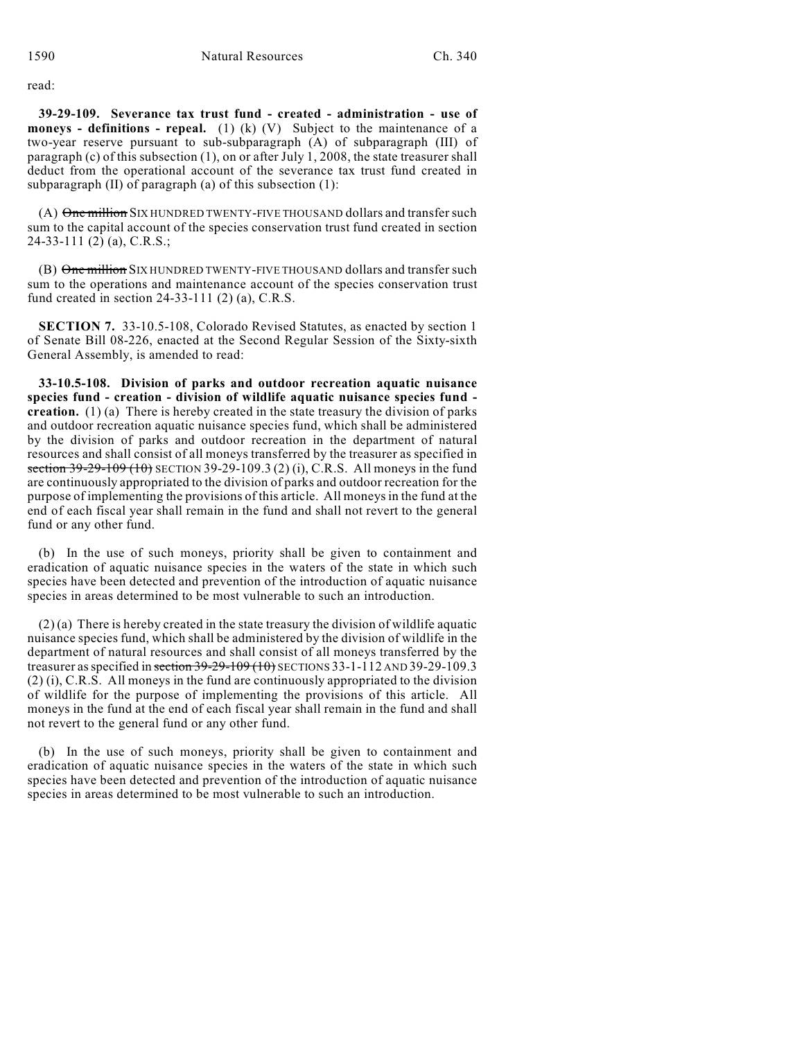read:

**39-29-109. Severance tax trust fund - created - administration - use of moneys - definitions - repeal.** (1) (k) (V) Subject to the maintenance of a two-year reserve pursuant to sub-subparagraph (A) of subparagraph (III) of paragraph (c) of this subsection (1), on or after July 1, 2008, the state treasurer shall deduct from the operational account of the severance tax trust fund created in subparagraph (II) of paragraph (a) of this subsection (1):

(A) One million SIX HUNDRED TWENTY-FIVE THOUSAND dollars and transfer such sum to the capital account of the species conservation trust fund created in section 24-33-111 (2) (a), C.R.S.;

(B) One million SIX HUNDRED TWENTY-FIVE THOUSAND dollars and transfer such sum to the operations and maintenance account of the species conservation trust fund created in section 24-33-111 (2) (a), C.R.S.

**SECTION 7.** 33-10.5-108, Colorado Revised Statutes, as enacted by section 1 of Senate Bill 08-226, enacted at the Second Regular Session of the Sixty-sixth General Assembly, is amended to read:

**33-10.5-108. Division of parks and outdoor recreation aquatic nuisance species fund - creation - division of wildlife aquatic nuisance species fund creation.** (1) (a) There is hereby created in the state treasury the division of parks and outdoor recreation aquatic nuisance species fund, which shall be administered by the division of parks and outdoor recreation in the department of natural resources and shall consist of all moneys transferred by the treasurer as specified in section  $39-29-109$  (10) SECTION 39-29-109.3 (2) (i), C.R.S. All moneys in the fund are continuously appropriated to the division of parks and outdoor recreation for the purpose of implementing the provisions of this article. All moneys in the fund at the end of each fiscal year shall remain in the fund and shall not revert to the general fund or any other fund.

(b) In the use of such moneys, priority shall be given to containment and eradication of aquatic nuisance species in the waters of the state in which such species have been detected and prevention of the introduction of aquatic nuisance species in areas determined to be most vulnerable to such an introduction.

 $(2)$  (a) There is hereby created in the state treasury the division of wildlife aquatic nuisance species fund, which shall be administered by the division of wildlife in the department of natural resources and shall consist of all moneys transferred by the treasurer as specified in section 39-29-109 (10) SECTIONS 33-1-112 AND 39-29-109.3 (2) (i), C.R.S. All moneys in the fund are continuously appropriated to the division of wildlife for the purpose of implementing the provisions of this article. All moneys in the fund at the end of each fiscal year shall remain in the fund and shall not revert to the general fund or any other fund.

(b) In the use of such moneys, priority shall be given to containment and eradication of aquatic nuisance species in the waters of the state in which such species have been detected and prevention of the introduction of aquatic nuisance species in areas determined to be most vulnerable to such an introduction.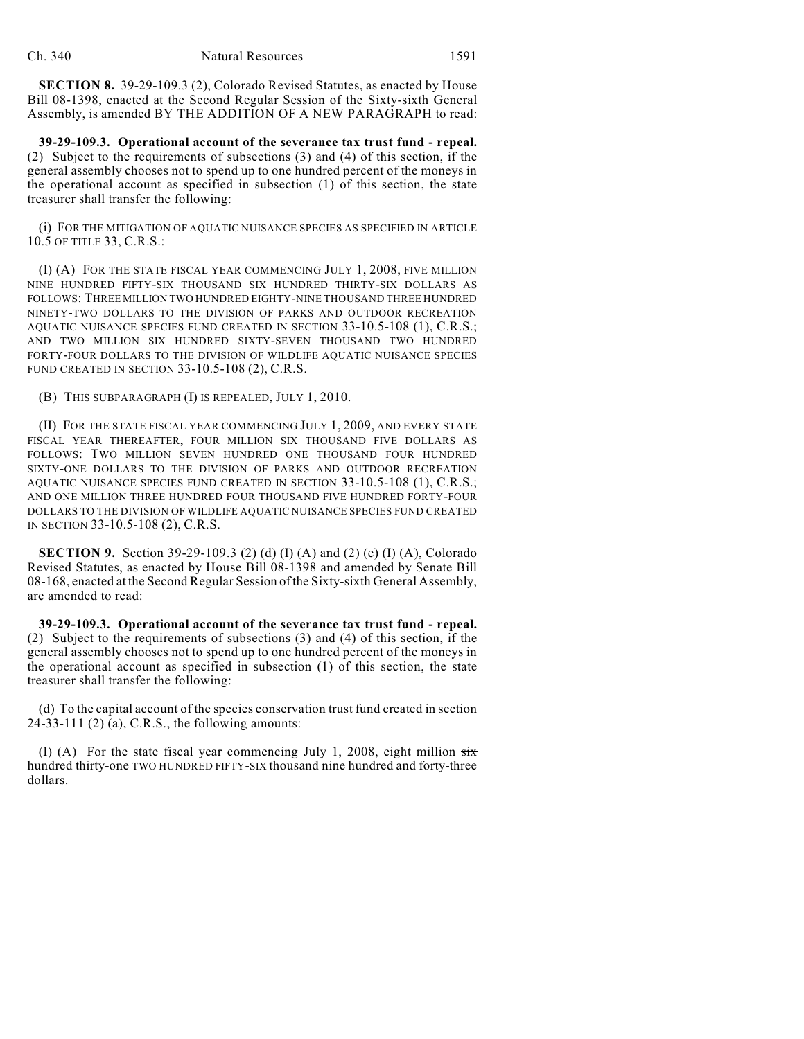**SECTION 8.** 39-29-109.3 (2), Colorado Revised Statutes, as enacted by House Bill 08-1398, enacted at the Second Regular Session of the Sixty-sixth General Assembly, is amended BY THE ADDITION OF A NEW PARAGRAPH to read:

**39-29-109.3. Operational account of the severance tax trust fund - repeal.** (2) Subject to the requirements of subsections (3) and (4) of this section, if the general assembly chooses not to spend up to one hundred percent of the moneys in the operational account as specified in subsection (1) of this section, the state treasurer shall transfer the following:

(i) FOR THE MITIGATION OF AQUATIC NUISANCE SPECIES AS SPECIFIED IN ARTICLE 10.5 OF TITLE 33, C.R.S.:

(I) (A) FOR THE STATE FISCAL YEAR COMMENCING JULY 1, 2008, FIVE MILLION NINE HUNDRED FIFTY-SIX THOUSAND SIX HUNDRED THIRTY-SIX DOLLARS AS FOLLOWS: THREE MILLION TWO HUNDRED EIGHTY-NINE THOUSAND THREE HUNDRED NINETY-TWO DOLLARS TO THE DIVISION OF PARKS AND OUTDOOR RECREATION AQUATIC NUISANCE SPECIES FUND CREATED IN SECTION 33-10.5-108 (1), C.R.S.; AND TWO MILLION SIX HUNDRED SIXTY-SEVEN THOUSAND TWO HUNDRED FORTY-FOUR DOLLARS TO THE DIVISION OF WILDLIFE AQUATIC NUISANCE SPECIES FUND CREATED IN SECTION 33-10.5-108 (2), C.R.S.

(B) THIS SUBPARAGRAPH (I) IS REPEALED, JULY 1, 2010.

(II) FOR THE STATE FISCAL YEAR COMMENCING JULY 1, 2009, AND EVERY STATE FISCAL YEAR THEREAFTER, FOUR MILLION SIX THOUSAND FIVE DOLLARS AS FOLLOWS: TWO MILLION SEVEN HUNDRED ONE THOUSAND FOUR HUNDRED SIXTY-ONE DOLLARS TO THE DIVISION OF PARKS AND OUTDOOR RECREATION AQUATIC NUISANCE SPECIES FUND CREATED IN SECTION 33-10.5-108 (1), C.R.S.; AND ONE MILLION THREE HUNDRED FOUR THOUSAND FIVE HUNDRED FORTY-FOUR DOLLARS TO THE DIVISION OF WILDLIFE AQUATIC NUISANCE SPECIES FUND CREATED IN SECTION 33-10.5-108 (2), C.R.S.

**SECTION 9.** Section 39-29-109.3 (2) (d) (I) (A) and (2) (e) (I) (A), Colorado Revised Statutes, as enacted by House Bill 08-1398 and amended by Senate Bill 08-168, enacted at the Second Regular Session of the Sixty-sixth General Assembly, are amended to read:

**39-29-109.3. Operational account of the severance tax trust fund - repeal.** (2) Subject to the requirements of subsections (3) and (4) of this section, if the general assembly chooses not to spend up to one hundred percent of the moneys in the operational account as specified in subsection (1) of this section, the state treasurer shall transfer the following:

(d) To the capital account of the species conservation trust fund created in section 24-33-111 (2) (a), C.R.S., the following amounts:

(I) (A) For the state fiscal year commencing July 1, 2008, eight million  $\frac{1}{\text{str}}$ hundred thirty-one TWO HUNDRED FIFTY-SIX thousand nine hundred and forty-three dollars.